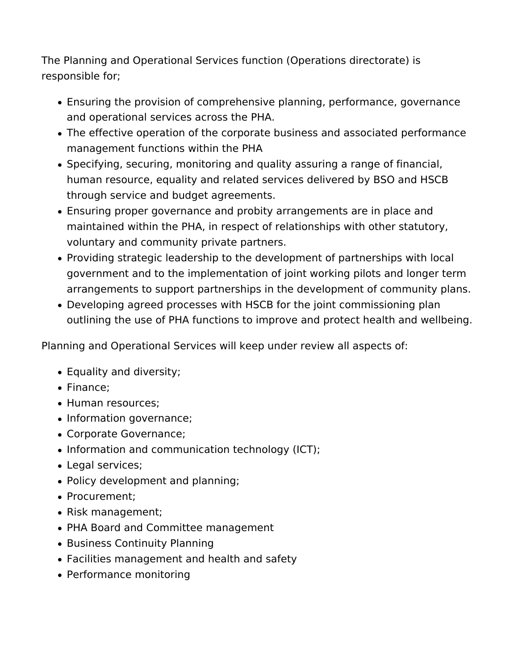The Planning and Operational Services function (Operations directorate) is responsible for;

- Ensuring the provision of comprehensive planning, performance, governance and operational services across the PHA.
- The effective operation of the corporate business and associated performance management functions within the PHA
- Specifying, securing, monitoring and quality assuring a range of financial, human resource, equality and related services delivered by BSO and HSCB through service and budget agreements.
- Ensuring proper governance and probity arrangements are in place and maintained within the PHA, in respect of relationships with other statutory, voluntary and community private partners.
- Providing strategic leadership to the development of partnerships with local government and to the implementation of joint working pilots and longer term arrangements to support partnerships in the development of community plans.
- Developing agreed processes with HSCB for the joint commissioning plan outlining the use of PHA functions to improve and protect health and wellbeing.

Planning and Operational Services will keep under review all aspects of:

- Equality and diversity;
- Finance:
- Human resources;
- Information governance;
- Corporate Governance;
- Information and communication technology (ICT);
- Legal services;
- Policy development and planning;
- Procurement:
- Risk management;
- PHA Board and Committee management
- Business Continuity Planning
- Facilities management and health and safety
- Performance monitoring